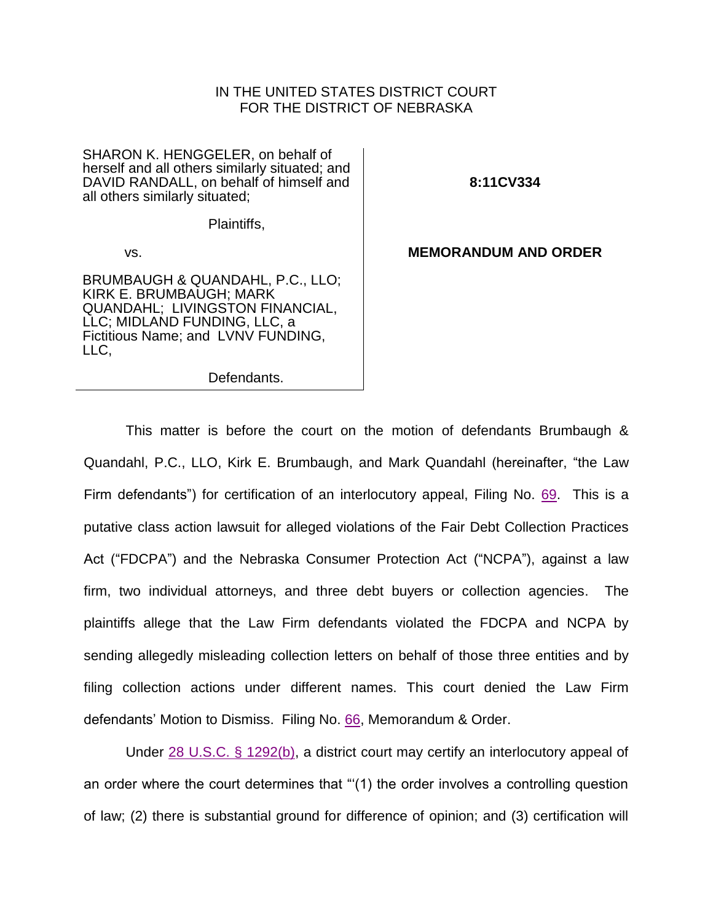## IN THE UNITED STATES DISTRICT COURT FOR THE DISTRICT OF NEBRASKA

SHARON K. HENGGELER, on behalf of herself and all others similarly situated; and DAVID RANDALL, on behalf of himself and all others similarly situated;

**8:11CV334**

Plaintiffs,

vs.

BRUMBAUGH & QUANDAHL, P.C., LLO; KIRK E. BRUMBAUGH; MARK QUANDAHL; LIVINGSTON FINANCIAL, LLC; MIDLAND FUNDING, LLC, a Fictitious Name; and LVNV FUNDING, LLC,

Defendants.

**MEMORANDUM AND ORDER**

This matter is before the court on the motion of defendants Brumbaugh & Quandahl, P.C., LLO, Kirk E. Brumbaugh, and Mark Quandahl (hereinafter, "the Law Firm defendants") for certification of an interlocutory appeal, Filing No. [69.](https://ecf.ned.uscourts.gov/doc1/11312570845) This is a putative class action lawsuit for alleged violations of the Fair Debt Collection Practices Act ("FDCPA") and the Nebraska Consumer Protection Act ("NCPA"), against a law firm, two individual attorneys, and three debt buyers or collection agencies. The plaintiffs allege that the Law Firm defendants violated the FDCPA and NCPA by sending allegedly misleading collection letters on behalf of those three entities and by filing collection actions under different names. This court denied the Law Firm defendants' Motion to Dismiss. Filing No. [66,](https://ecf.ned.uscourts.gov/doc1/11312559779) Memorandum & Order.

Under [28 U.S.C. § 1292\(b\),](http://westlaw.com/find/default.wl?ft=L&docname=28USCAS1292&rs=btil2.0&rp=%2ffind%2fdefault.wl&fn=_top&findtype=L&vr=2.0&db=1000546&wbtoolsId=28USCAS1292&HistoryType=F) a district court may certify an interlocutory appeal of an order where the court determines that "'(1) the order involves a controlling question of law; (2) there is substantial ground for difference of opinion; and (3) certification will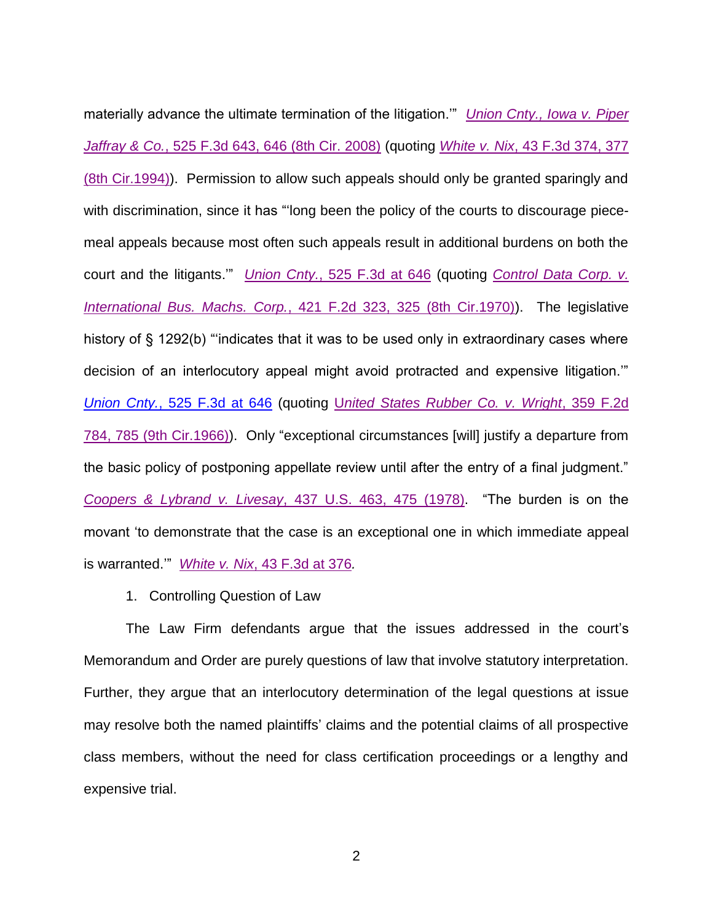materially advance the ultimate termination of the litigation.'" *[Union Cnty., Iowa v. Piper](http://westlaw.com/find/default.wl?ft=Y&db=0000506&rs=btil2.0&rp=%2ffind%2fdefault.wl&serialnum=2016082563&fn=_top&findtype=Y&vr=2.0&wbtoolsId=2016082563&HistoryType=F)  Jaffray & Co.*[, 525 F.3d 643, 646 \(8th Cir. 2008\)](http://westlaw.com/find/default.wl?ft=Y&db=0000506&rs=btil2.0&rp=%2ffind%2fdefault.wl&serialnum=2016082563&fn=_top&findtype=Y&vr=2.0&wbtoolsId=2016082563&HistoryType=F) (quoting *White v. Nix*[, 43 F.3d 374, 377](http://westlaw.com/find/default.wl?ft=Y&db=0000506&rs=btil2.0&rp=%2ffind%2fdefault.wl&serialnum=1994249800&fn=_top&findtype=Y&vr=2.0&wbtoolsId=1994249800&HistoryType=F)  [\(8th Cir.1994\)\)](http://westlaw.com/find/default.wl?ft=Y&db=0000506&rs=btil2.0&rp=%2ffind%2fdefault.wl&serialnum=1994249800&fn=_top&findtype=Y&vr=2.0&wbtoolsId=1994249800&HistoryType=F). Permission to allow such appeals should only be granted sparingly and with discrimination, since it has "'long been the policy of the courts to discourage piecemeal appeals because most often such appeals result in additional burdens on both the court and the litigants.'" *Union Cnty.*[, 525 F.3d at 646](https://web2.westlaw.com/find/default.wl?db=0000506&findtype=Y&fn=%5Ftop&ft=Y&HistoryType=F&MT=Westlaw&rs=btil2%2E0&serialnum=2016082563&ssl=n&strRecreate=no&sv=Split&vr=2%2E0&wbtoolsId=2016082563) (quoting *[Control Data Corp. v.](http://westlaw.com/find/default.wl?ft=Y&db=0000350&rs=btil2.0&rp=%2ffind%2fdefault.wl&serialnum=1970101496&fn=_top&findtype=Y&vr=2.0&wbtoolsId=1970101496&HistoryType=F)  International Bus. Machs. Corp.*[, 421 F.2d 323, 325 \(8th Cir.1970\)\)](http://westlaw.com/find/default.wl?ft=Y&db=0000350&rs=btil2.0&rp=%2ffind%2fdefault.wl&serialnum=1970101496&fn=_top&findtype=Y&vr=2.0&wbtoolsId=1970101496&HistoryType=F). The legislative history of § 1292(b) "indicates that it was to be used only in extraordinary cases where decision of an interlocutory appeal might avoid protracted and expensive litigation.'" *Union Cnty.*[, 525 F.3d at 646](https://web2.westlaw.com/find/default.wl?cite=525+f3d+646&ft=Y&vr=2.0&rs=WLW12.04&rp=%2ffind%2fdefault.wl&sv=Split&fn=_top&mt=Westlaw) (quoting U*[nited States Rubber Co. v. Wright](http://westlaw.com/find/default.wl?ft=Y&db=0000350&rs=btil2.0&rp=%2ffind%2fdefault.wl&serialnum=1966120882&fn=_top&findtype=Y&vr=2.0&wbtoolsId=1966120882&HistoryType=F)*, 359 F.2d [784, 785 \(9th Cir.1966\)\)](http://westlaw.com/find/default.wl?ft=Y&db=0000350&rs=btil2.0&rp=%2ffind%2fdefault.wl&serialnum=1966120882&fn=_top&findtype=Y&vr=2.0&wbtoolsId=1966120882&HistoryType=F). Only "exceptional circumstances [will] justify a departure from the basic policy of postponing appellate review until after the entry of a final judgment." *Coopers & Lybrand v. Livesay*[, 437 U.S. 463, 475](http://westlaw.com/find/default.wl?ft=Y&db=0000780&rs=btil2.0&rp=%2ffind%2fdefault.wl&serialnum=1978139490&fn=_top&findtype=Y&vr=2.0&wbtoolsId=1978139490&HistoryType=F) (1978). "The burden is on the movant 'to demonstrate that the case is an exceptional one in which immediate appeal is warranted.'" *White v. Nix*[, 43 F.3d at 376](http://westlaw.com/find/default.wl?ft=Y&db=0000506&rs=btil2.0&rp=%2ffind%2fdefault.wl&serialnum=1994249800&fn=_top&findtype=Y&vr=2.0&wbtoolsId=1994249800&HistoryType=F)*.*

1. Controlling Question of Law

The Law Firm defendants argue that the issues addressed in the court's Memorandum and Order are purely questions of law that involve statutory interpretation. Further, they argue that an interlocutory determination of the legal questions at issue may resolve both the named plaintiffs' claims and the potential claims of all prospective class members, without the need for class certification proceedings or a lengthy and expensive trial.

2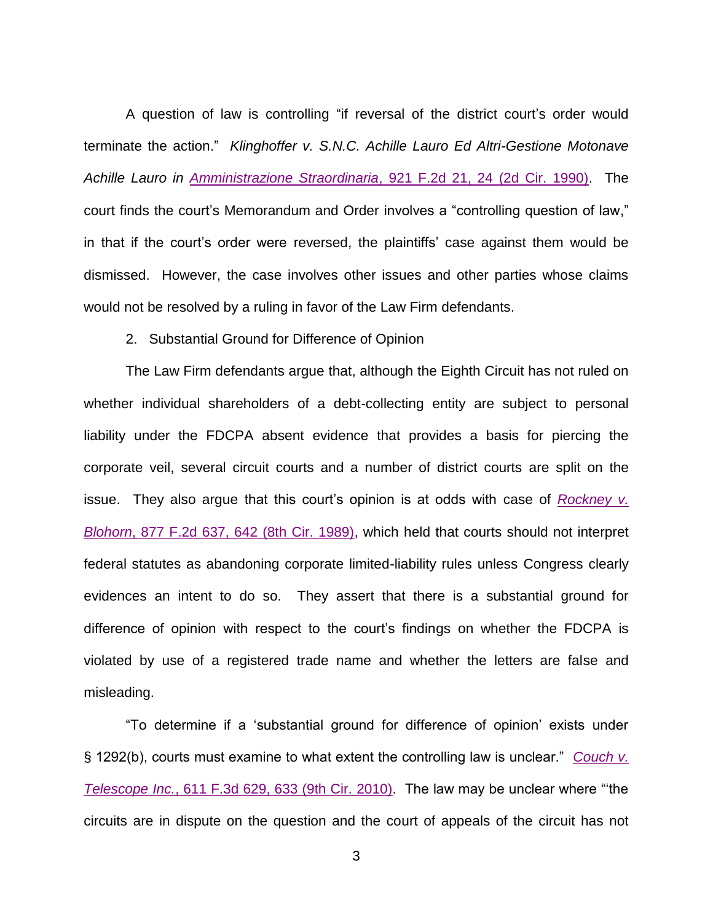A question of law is controlling "if reversal of the district court's order would terminate the action." *Klinghoffer v. S.N.C. Achille Lauro Ed Altri-Gestione Motonave Achille Lauro in Amministrazione Straordinaria*[, 921 F.2d 21, 24 \(2d Cir. 1990\).](http://westlaw.com/find/default.wl?ft=Y&db=0000350&rs=btil2.0&rp=%2ffind%2fdefault.wl&serialnum=1990173866&fn=_top&findtype=Y&vr=2.0&wbtoolsId=1990173866&HistoryType=F) The court finds the court's Memorandum and Order involves a "controlling question of law," in that if the court's order were reversed, the plaintiffs' case against them would be dismissed. However, the case involves other issues and other parties whose claims would not be resolved by a ruling in favor of the Law Firm defendants.

## 2. Substantial Ground for Difference of Opinion

The Law Firm defendants argue that, although the Eighth Circuit has not ruled on whether individual shareholders of a debt-collecting entity are subject to personal liability under the FDCPA absent evidence that provides a basis for piercing the corporate veil, several circuit courts and a number of district courts are split on the issue. They also argue that this court's opinion is at odds with case of *[Rockney v.](http://westlaw.com/find/default.wl?ft=Y&db=0000350&rs=btil2.0&rp=%2ffind%2fdefault.wl&serialnum=1989084235&fn=_top&findtype=Y&vr=2.0&wbtoolsId=1989084235&HistoryType=F)  Blohorn*[, 877 F.2d 637, 642 \(8th Cir. 1989\),](http://westlaw.com/find/default.wl?ft=Y&db=0000350&rs=btil2.0&rp=%2ffind%2fdefault.wl&serialnum=1989084235&fn=_top&findtype=Y&vr=2.0&wbtoolsId=1989084235&HistoryType=F) which held that courts should not interpret federal statutes as abandoning corporate limited-liability rules unless Congress clearly evidences an intent to do so. They assert that there is a substantial ground for difference of opinion with respect to the court's findings on whether the FDCPA is violated by use of a registered trade name and whether the letters are false and misleading.

"To determine if a 'substantial ground for difference of opinion' exists under § 1292(b), courts must examine to what extent the controlling law is unclear." *[Couch v.](http://westlaw.com/find/default.wl?ft=Y&db=0000506&rs=btil2.0&rp=%2ffind%2fdefault.wl&serialnum=2022482336&fn=_top&findtype=Y&vr=2.0&wbtoolsId=2022482336&HistoryType=F)  Telescope Inc.*[, 611 F.3d 629, 633 \(9th Cir.](http://westlaw.com/find/default.wl?ft=Y&db=0000506&rs=btil2.0&rp=%2ffind%2fdefault.wl&serialnum=2022482336&fn=_top&findtype=Y&vr=2.0&wbtoolsId=2022482336&HistoryType=F) 2010). The law may be unclear where "'the circuits are in dispute on the question and the court of appeals of the circuit has not

3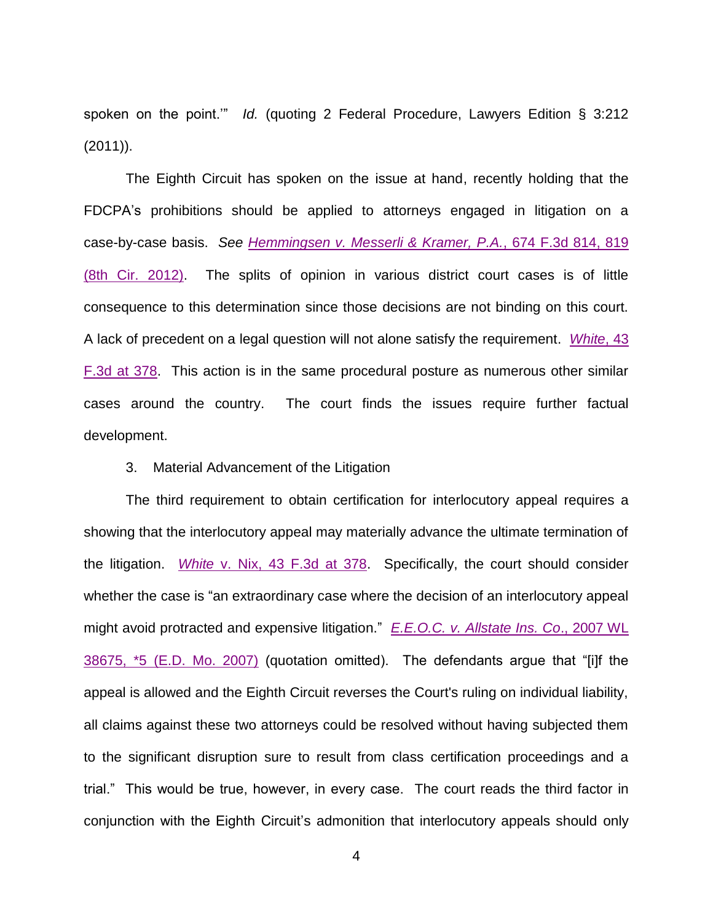spoken on the point.'" *Id.* (quoting 2 Federal Procedure, Lawyers Edition § 3:212 (2011)).

The Eighth Circuit has spoken on the issue at hand, recently holding that the FDCPA's prohibitions should be applied to attorneys engaged in litigation on a case-by-case basis. *See [Hemmingsen v. Messerli & Kramer, P.A.](http://westlaw.com/find/default.wl?ft=Y&db=0000506&rs=btil2.0&rp=%2ffind%2fdefault.wl&serialnum=2027327092&fn=_top&findtype=Y&vr=2.0&wbtoolsId=2027327092&HistoryType=F)*, 674 F.3d 814, 819 [\(8th Cir. 2012\).](http://westlaw.com/find/default.wl?ft=Y&db=0000506&rs=btil2.0&rp=%2ffind%2fdefault.wl&serialnum=2027327092&fn=_top&findtype=Y&vr=2.0&wbtoolsId=2027327092&HistoryType=F) The splits of opinion in various district court cases is of little consequence to this determination since those decisions are not binding on this court. A lack of precedent on a legal question will not alone satisfy the requirement. *[White](http://westlaw.com/find/default.wl?ft=Y&db=0000506&rs=btil2.0&rp=%2ffind%2fdefault.wl&serialnum=1994249800&fn=_top&findtype=Y&vr=2.0&wbtoolsId=1994249800&HistoryType=F)*, 43 [F.3d at 378.](http://westlaw.com/find/default.wl?ft=Y&db=0000506&rs=btil2.0&rp=%2ffind%2fdefault.wl&serialnum=1994249800&fn=_top&findtype=Y&vr=2.0&wbtoolsId=1994249800&HistoryType=F) This action is in the same procedural posture as numerous other similar cases around the country. The court finds the issues require further factual development.

## 3. Material Advancement of the Litigation

The third requirement to obtain certification for interlocutory appeal requires a showing that the interlocutory appeal may materially advance the ultimate termination of the litigation. *White* [v. Nix, 43 F.3d at 378.](http://westlaw.com/find/default.wl?ft=Y&db=0000506&rs=btil2.0&rp=%2ffind%2fdefault.wl&serialnum=1994249800&fn=_top&findtype=Y&vr=2.0&wbtoolsId=1994249800&HistoryType=F) Specifically, the court should consider whether the case is "an extraordinary case where the decision of an interlocutory appeal might avoid protracted and expensive litigation." *E.E.O.C. v. [Allstate Ins. Co](http://westlaw.com/find/default.wl?ft=Y&db=0000999&rs=btil2.0&rp=%2ffind%2fdefault.wl&serialnum=2011134538&fn=_top&findtype=Y&vr=2.0&wbtoolsId=2011134538&HistoryType=F)*., 2007 WL 38675, \*5 [\(E.D. Mo. 2007\)](http://westlaw.com/find/default.wl?ft=Y&db=0000999&rs=btil2.0&rp=%2ffind%2fdefault.wl&serialnum=2011134538&fn=_top&findtype=Y&vr=2.0&wbtoolsId=2011134538&HistoryType=F) (quotation omitted). The defendants argue that "[i]f the appeal is allowed and the Eighth Circuit reverses the Court's ruling on individual liability, all claims against these two attorneys could be resolved without having subjected them to the significant disruption sure to result from class certification proceedings and a trial." This would be true, however, in every case. The court reads the third factor in conjunction with the Eighth Circuit's admonition that interlocutory appeals should only